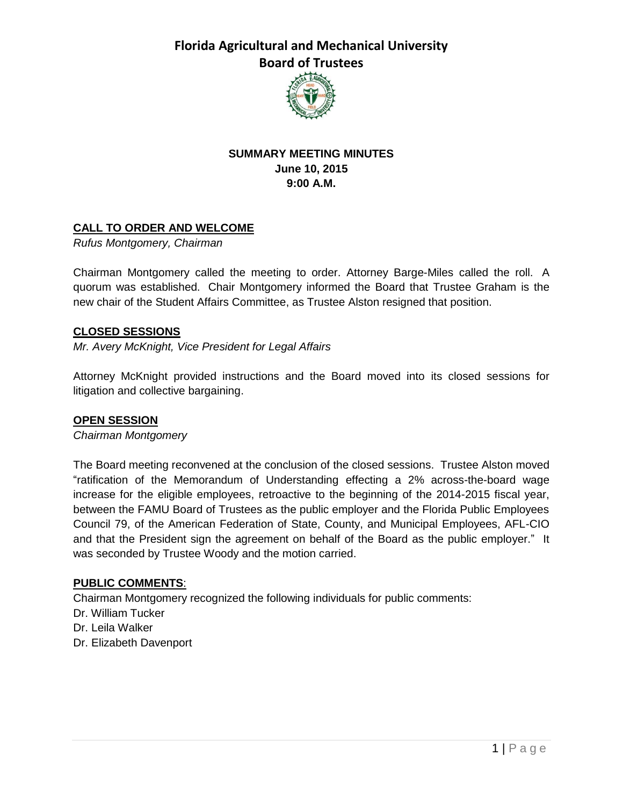

## **SUMMARY MEETING MINUTES June 10, 2015 9:00 A.M.**

## **CALL TO ORDER AND WELCOME**

*Rufus Montgomery, Chairman*

Chairman Montgomery called the meeting to order. Attorney Barge-Miles called the roll. A quorum was established. Chair Montgomery informed the Board that Trustee Graham is the new chair of the Student Affairs Committee, as Trustee Alston resigned that position.

#### **CLOSED SESSIONS**

*Mr. Avery McKnight, Vice President for Legal Affairs*

Attorney McKnight provided instructions and the Board moved into its closed sessions for litigation and collective bargaining.

### **OPEN SESSION**

*Chairman Montgomery*

The Board meeting reconvened at the conclusion of the closed sessions. Trustee Alston moved "ratification of the Memorandum of Understanding effecting a 2% across-the-board wage increase for the eligible employees, retroactive to the beginning of the 2014-2015 fiscal year, between the FAMU Board of Trustees as the public employer and the Florida Public Employees Council 79, of the American Federation of State, County, and Municipal Employees, AFL-CIO and that the President sign the agreement on behalf of the Board as the public employer." It was seconded by Trustee Woody and the motion carried.

### **PUBLIC COMMENTS**:

Chairman Montgomery recognized the following individuals for public comments:

- Dr. William Tucker
- Dr. Leila Walker
- Dr. Elizabeth Davenport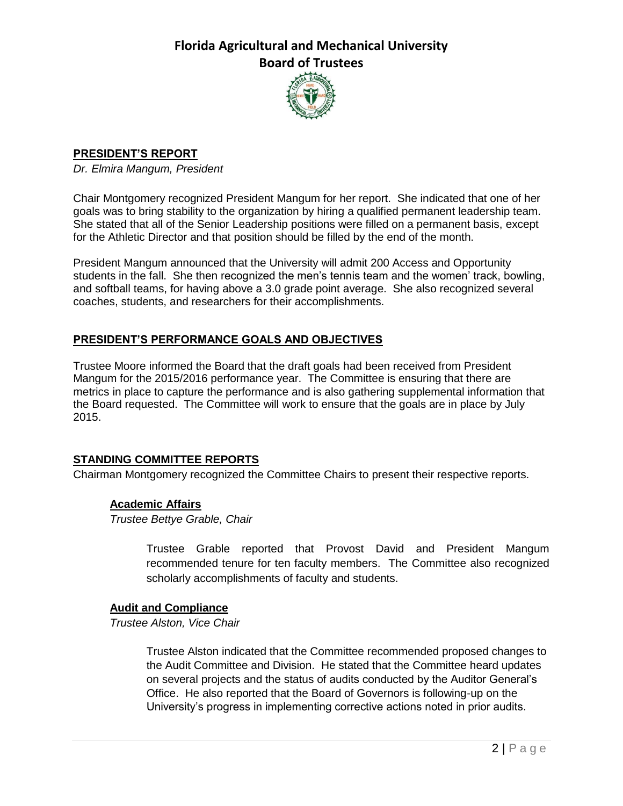

# **PRESIDENT'S REPORT**

*Dr. Elmira Mangum, President*

Chair Montgomery recognized President Mangum for her report. She indicated that one of her goals was to bring stability to the organization by hiring a qualified permanent leadership team. She stated that all of the Senior Leadership positions were filled on a permanent basis, except for the Athletic Director and that position should be filled by the end of the month.

President Mangum announced that the University will admit 200 Access and Opportunity students in the fall. She then recognized the men's tennis team and the women' track, bowling, and softball teams, for having above a 3.0 grade point average. She also recognized several coaches, students, and researchers for their accomplishments.

# **PRESIDENT'S PERFORMANCE GOALS AND OBJECTIVES**

Trustee Moore informed the Board that the draft goals had been received from President Mangum for the 2015/2016 performance year. The Committee is ensuring that there are metrics in place to capture the performance and is also gathering supplemental information that the Board requested. The Committee will work to ensure that the goals are in place by July 2015.

## **STANDING COMMITTEE REPORTS**

Chairman Montgomery recognized the Committee Chairs to present their respective reports.

### **Academic Affairs**

*Trustee Bettye Grable, Chair*

Trustee Grable reported that Provost David and President Mangum recommended tenure for ten faculty members. The Committee also recognized scholarly accomplishments of faculty and students.

### **Audit and Compliance**

*Trustee Alston, Vice Chair*

Trustee Alston indicated that the Committee recommended proposed changes to the Audit Committee and Division. He stated that the Committee heard updates on several projects and the status of audits conducted by the Auditor General's Office. He also reported that the Board of Governors is following-up on the University's progress in implementing corrective actions noted in prior audits.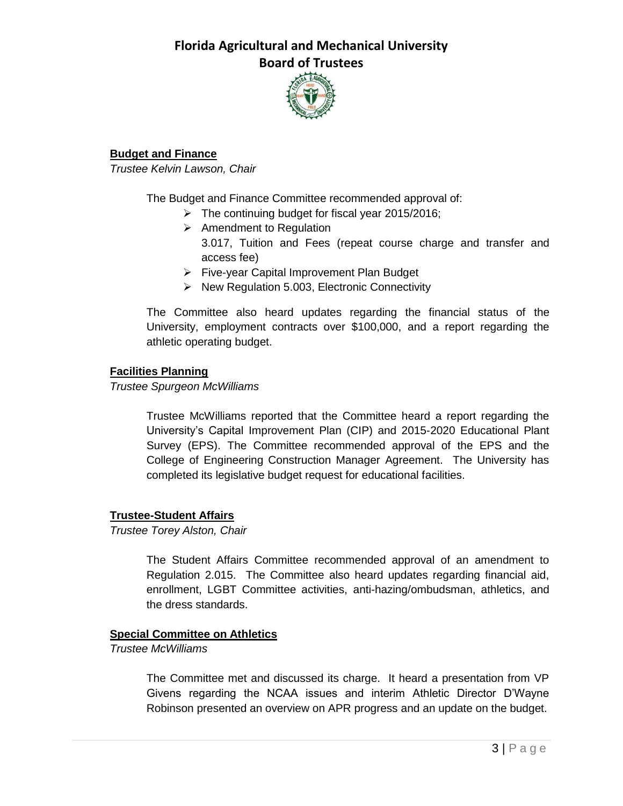

## **Budget and Finance**

*Trustee Kelvin Lawson, Chair*

The Budget and Finance Committee recommended approval of:

- $\triangleright$  The continuing budget for fiscal year 2015/2016;
- $\triangleright$  Amendment to Regulation
	- 3.017, Tuition and Fees (repeat course charge and transfer and access fee)
- Five-year Capital Improvement Plan Budget
- $\triangleright$  New Regulation 5.003, Electronic Connectivity

The Committee also heard updates regarding the financial status of the University, employment contracts over \$100,000, and a report regarding the athletic operating budget.

### **Facilities Planning**

*Trustee Spurgeon McWilliams*

Trustee McWilliams reported that the Committee heard a report regarding the University's Capital Improvement Plan (CIP) and 2015-2020 Educational Plant Survey (EPS). The Committee recommended approval of the EPS and the College of Engineering Construction Manager Agreement. The University has completed its legislative budget request for educational facilities.

## **Trustee-Student Affairs**

*Trustee Torey Alston, Chair*

The Student Affairs Committee recommended approval of an amendment to Regulation 2.015. The Committee also heard updates regarding financial aid, enrollment, LGBT Committee activities, anti-hazing/ombudsman, athletics, and the dress standards.

### **Special Committee on Athletics**

*Trustee McWilliams*

The Committee met and discussed its charge. It heard a presentation from VP Givens regarding the NCAA issues and interim Athletic Director D'Wayne Robinson presented an overview on APR progress and an update on the budget.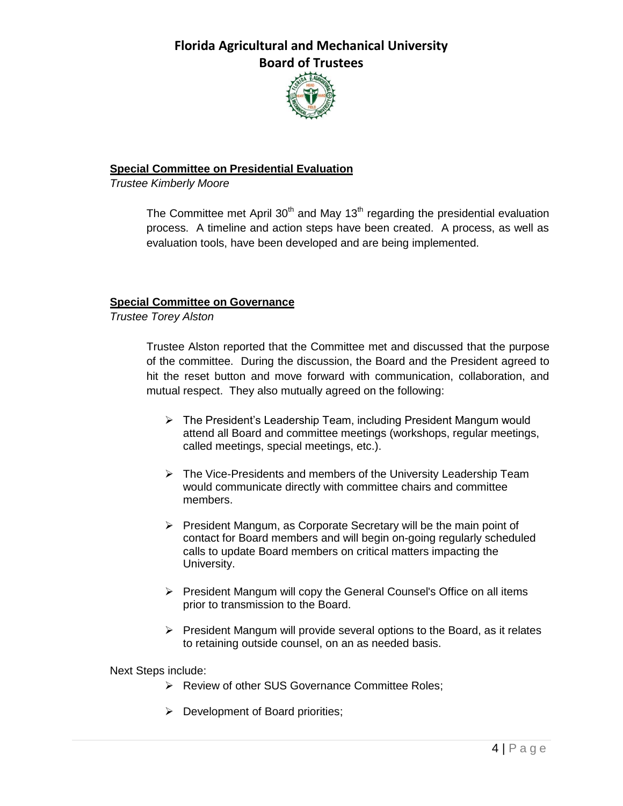

## **Special Committee on Presidential Evaluation**

*Trustee Kimberly Moore*

The Committee met April  $30<sup>th</sup>$  and May 13<sup>th</sup> regarding the presidential evaluation process. A timeline and action steps have been created. A process, as well as evaluation tools, have been developed and are being implemented.

### **Special Committee on Governance**

*Trustee Torey Alston*

Trustee Alston reported that the Committee met and discussed that the purpose of the committee. During the discussion, the Board and the President agreed to hit the reset button and move forward with communication, collaboration, and mutual respect. They also mutually agreed on the following:

- $\triangleright$  The President's Leadership Team, including President Mangum would attend all Board and committee meetings (workshops, regular meetings, called meetings, special meetings, etc.).
- $\triangleright$  The Vice-Presidents and members of the University Leadership Team would communicate directly with committee chairs and committee members.
- $\triangleright$  President Mangum, as Corporate Secretary will be the main point of contact for Board members and will begin on-going regularly scheduled calls to update Board members on critical matters impacting the University.
- $\triangleright$  President Mangum will copy the General Counsel's Office on all items prior to transmission to the Board.
- $\triangleright$  President Mangum will provide several options to the Board, as it relates to retaining outside counsel, on an as needed basis.

Next Steps include:

- ▶ Review of other SUS Governance Committee Roles;
- $\triangleright$  Development of Board priorities;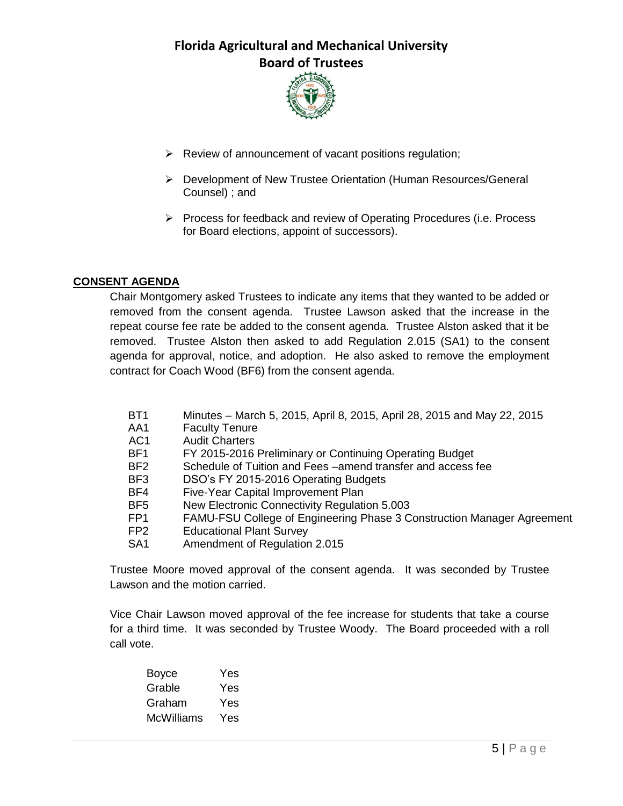

- $\triangleright$  Review of announcement of vacant positions regulation;
- Development of New Trustee Orientation (Human Resources/General Counsel) ; and
- $\triangleright$  Process for feedback and review of Operating Procedures (i.e. Process for Board elections, appoint of successors).

## **CONSENT AGENDA**

Chair Montgomery asked Trustees to indicate any items that they wanted to be added or removed from the consent agenda. Trustee Lawson asked that the increase in the repeat course fee rate be added to the consent agenda. Trustee Alston asked that it be removed. Trustee Alston then asked to add Regulation 2.015 (SA1) to the consent agenda for approval, notice, and adoption. He also asked to remove the employment contract for Coach Wood (BF6) from the consent agenda.

- BT1 Minutes March 5, 2015, April 8, 2015, April 28, 2015 and May 22, 2015
- AA1 Faculty Tenure
- AC1 Audit Charters
- BF1 FY 2015-2016 Preliminary or Continuing Operating Budget
- BF2 Schedule of Tuition and Fees –amend transfer and access fee
- BF3 DSO's FY 2015-2016 Operating Budgets
- BF4 Five-Year Capital Improvement Plan
- BF5 New Electronic Connectivity Regulation 5.003
- FP1 FAMU-FSU College of Engineering Phase 3 Construction Manager Agreement
- FP2 Educational Plant Survey
- SA1 Amendment of Regulation 2.015

Trustee Moore moved approval of the consent agenda. It was seconded by Trustee Lawson and the motion carried.

Vice Chair Lawson moved approval of the fee increase for students that take a course for a third time. It was seconded by Trustee Woody. The Board proceeded with a roll call vote.

| Boyce      | Yes |
|------------|-----|
| Grable     | Yes |
| Graham     | Yes |
| McWilliams | Yes |